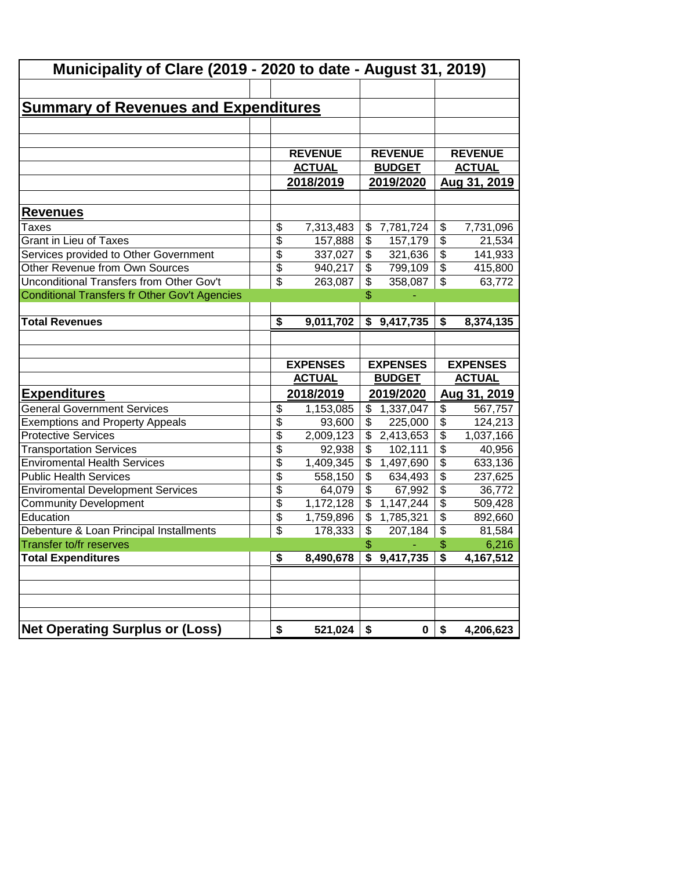| Municipality of Clare (2019 - 2020 to date - August 31, 2019) |                          |           |                          |                 |                                      |                 |  |  |
|---------------------------------------------------------------|--------------------------|-----------|--------------------------|-----------------|--------------------------------------|-----------------|--|--|
|                                                               |                          |           |                          |                 |                                      |                 |  |  |
| <u>Summary of Revenues and Expenditures</u>                   |                          |           |                          |                 |                                      |                 |  |  |
|                                                               |                          |           |                          |                 |                                      |                 |  |  |
|                                                               |                          |           |                          |                 |                                      |                 |  |  |
|                                                               | <b>REVENUE</b>           |           |                          | <b>REVENUE</b>  |                                      | <b>REVENUE</b>  |  |  |
|                                                               | <b>ACTUAL</b>            |           |                          | <b>BUDGET</b>   |                                      | <b>ACTUAL</b>   |  |  |
|                                                               | 2018/2019                |           |                          | 2019/2020       |                                      | Aug 31, 2019    |  |  |
|                                                               |                          |           |                          |                 |                                      |                 |  |  |
| <u>Revenues</u>                                               |                          |           |                          |                 |                                      |                 |  |  |
| Taxes                                                         | \$                       | 7,313,483 |                          | \$7,781,724     | \$                                   | 7,731,096       |  |  |
| <b>Grant in Lieu of Taxes</b>                                 | $\overline{\$}$          | 157,888   | \$                       | 157,179         | $\overline{\$}$                      | 21,534          |  |  |
| Services provided to Other Government                         | $\overline{\$}$          | 337,027   | $\overline{\$}$          | 321,636         | $\overline{\$}$                      | 141,933         |  |  |
| Other Revenue from Own Sources                                | \$                       | 940,217   | \$                       | 799,109         | $\overline{\mathcal{E}}$             | 415,800         |  |  |
| Unconditional Transfers from Other Gov't                      | $\overline{\mathcal{L}}$ | 263,087   | \$                       | 358,087         | $\overline{\mathcal{S}}$             | 63,772          |  |  |
| Conditional Transfers fr Other Gov't Agencies                 |                          |           | \$                       |                 |                                      |                 |  |  |
|                                                               |                          |           |                          |                 |                                      |                 |  |  |
| <b>Total Revenues</b>                                         | \$                       | 9,011,702 | \$                       | 9,417,735       | $\overline{\boldsymbol{\mathsf{s}}}$ | 8,374,135       |  |  |
|                                                               |                          |           |                          |                 |                                      |                 |  |  |
|                                                               |                          |           |                          |                 |                                      |                 |  |  |
|                                                               |                          |           |                          |                 |                                      |                 |  |  |
|                                                               | <b>EXPENSES</b>          |           |                          | <b>EXPENSES</b> |                                      | <b>EXPENSES</b> |  |  |
|                                                               | <b>ACTUAL</b>            |           |                          | <b>BUDGET</b>   |                                      | <b>ACTUAL</b>   |  |  |
| <u>Expenditures</u>                                           | 2018/2019                |           |                          | 2019/2020       |                                      | Aug 31, 2019    |  |  |
| <b>General Government Services</b>                            | $\overline{\mathcal{G}}$ | 1,153,085 | \$                       | 1,337,047       | $\overline{\mathbf{e}}$              | 567,757         |  |  |
| <b>Exemptions and Property Appeals</b>                        | $\overline{\$}$          | 93,600    | $\overline{\$}$          | 225,000         | $\overline{\$}$                      | 124,213         |  |  |
| <b>Protective Services</b>                                    | $\overline{\$}$          | 2,009,123 | \$                       | 2,413,653       | $\overline{\$}$                      | 1,037,166       |  |  |
| <b>Transportation Services</b>                                | \$                       | 92,938    | \$                       | 102,111         | $\overline{\$}$                      | 40,956          |  |  |
| <b>Enviromental Health Services</b>                           | $\overline{\$}$          | 1,409,345 | \$                       | 1,497,690       | $\overline{\$}$                      | 633,136         |  |  |
| <b>Public Health Services</b>                                 | $\overline{\$}$          | 558,150   | \$                       | 634,493         | $\overline{\$}$                      | 237,625         |  |  |
| <b>Enviromental Development Services</b>                      | $\overline{\$}$          | 64,079    | \$                       | 67,992          | $\overline{\$}$                      | 36,772          |  |  |
| <b>Community Development</b>                                  | $\overline{\$}$          | 1,172,128 | $\overline{\mathcal{L}}$ | 1,147,244       | $\overline{\$}$                      | 509,428         |  |  |
| Education                                                     | $\overline{\$}$          | 1,759,896 | $\overline{\mathcal{S}}$ | 1,785,321       | $\overline{\$}$                      | 892,660         |  |  |
| Debenture & Loan Principal Installments                       | \$                       | 178,333   | $\overline{\$}$          | 207,184         | $\overline{\boldsymbol{\theta}}$     | 81,584          |  |  |
| <b>Transfer to/fr reserves</b>                                |                          |           | \$                       |                 | \$                                   | 6,216           |  |  |
| <b>Total Expenditures</b>                                     | \$                       | 8,490,678 |                          | \$9,417,735     | \$                                   | 4,167,512       |  |  |
|                                                               |                          |           |                          |                 |                                      |                 |  |  |
|                                                               |                          |           |                          |                 |                                      |                 |  |  |
|                                                               |                          |           |                          |                 |                                      |                 |  |  |
| <b>Net Operating Surplus or (Loss)</b>                        |                          |           |                          |                 |                                      |                 |  |  |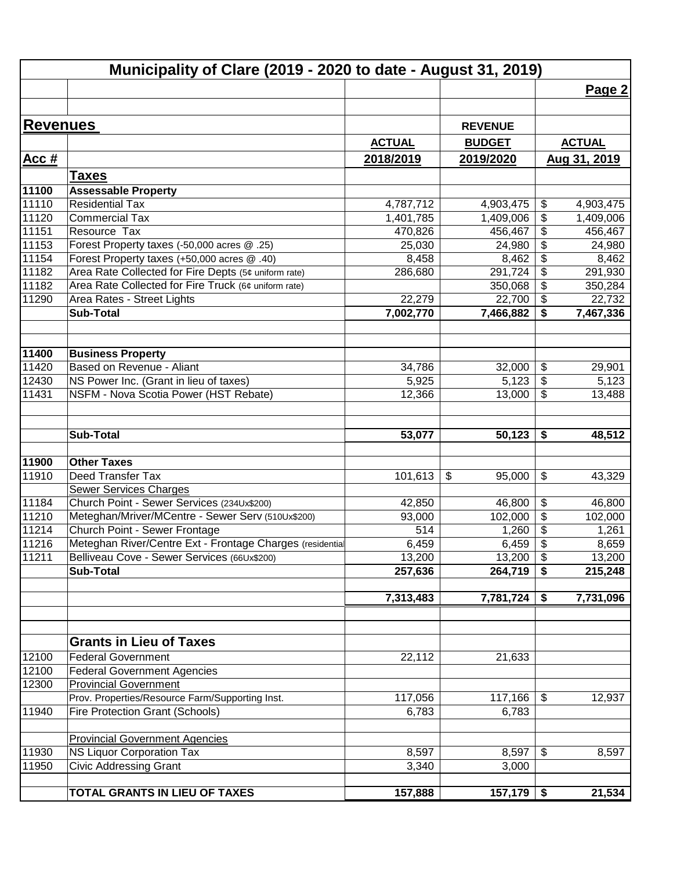|                | Municipality of Clare (2019 - 2020 to date - August 31, 2019)                                           |               |                |                               |               |
|----------------|---------------------------------------------------------------------------------------------------------|---------------|----------------|-------------------------------|---------------|
|                |                                                                                                         |               |                |                               | Page 2        |
| Revenues       |                                                                                                         |               |                |                               |               |
|                |                                                                                                         |               | <b>REVENUE</b> |                               |               |
|                |                                                                                                         | <b>ACTUAL</b> | <b>BUDGET</b>  |                               | <b>ACTUAL</b> |
| Acc#           |                                                                                                         | 2018/2019     | 2019/2020      |                               | Aug 31, 2019  |
|                | <b>Taxes</b>                                                                                            |               |                |                               |               |
| 11100          | <b>Assessable Property</b>                                                                              |               |                |                               |               |
| 11110          | <b>Residential Tax</b>                                                                                  | 4,787,712     | 4,903,475      | \$                            | 4,903,475     |
| 11120          | <b>Commercial Tax</b>                                                                                   | 1,401,785     | 1,409,006      | \$                            | 1,409,006     |
| 11151          | Resource Tax                                                                                            | 470,826       | 456,467        | \$                            | 456,467       |
| 11153          | Forest Property taxes (-50,000 acres @ .25)                                                             | 25,030        | 24,980         | \$                            | 24,980        |
| 11154          | Forest Property taxes (+50,000 acres @ .40)                                                             | 8,458         | 8,462          | \$                            | 8,462         |
| 11182          | Area Rate Collected for Fire Depts (5¢ uniform rate)                                                    | 286,680       | 291,724        | \$                            | 291,930       |
| 11182          | Area Rate Collected for Fire Truck (6¢ uniform rate)                                                    |               | 350,068        | \$                            | 350,284       |
| 11290          | Area Rates - Street Lights                                                                              | 22,279        | 22,700         | \$                            | 22,732        |
|                | <b>Sub-Total</b>                                                                                        | 7,002,770     | 7,466,882      | \$                            | 7,467,336     |
|                |                                                                                                         |               |                |                               |               |
| 11400          | <b>Business Property</b>                                                                                |               |                |                               |               |
| 11420          | Based on Revenue - Aliant                                                                               | 34,786        | 32,000         | \$                            | 29,901        |
| 12430          | NS Power Inc. (Grant in lieu of taxes)                                                                  | 5,925         | 5,123          | \$                            | 5,123         |
| 11431          | NSFM - Nova Scotia Power (HST Rebate)                                                                   | 12,366        | 13,000         | \$                            | 13,488        |
|                |                                                                                                         |               |                |                               |               |
|                | <b>Sub-Total</b>                                                                                        | 53,077        | 50,123         | \$                            | 48,512        |
| 11900          | <b>Other Taxes</b>                                                                                      |               |                |                               |               |
| 11910          | Deed Transfer Tax                                                                                       | 101,613       | \$<br>95,000   | \$                            | 43,329        |
|                | <b>Sewer Services Charges</b>                                                                           |               |                |                               |               |
| 11184          | Church Point - Sewer Services (234Ux\$200)                                                              | 42,850        | 46,800         | \$                            | 46,800        |
| 11210          | Meteghan/Mriver/MCentre - Sewer Serv (510Ux\$200)                                                       |               | 102,000        | \$                            |               |
|                |                                                                                                         | 93,000        |                |                               | 102,000       |
| 11214          | Church Point - Sewer Frontage                                                                           | 514           | 1,260          | \$<br>$\overline{\mathbf{S}}$ | 1,261         |
| 11216<br>11211 | Meteghan River/Centre Ext - Frontage Charges (residentia<br>Belliveau Cove - Sewer Services (66Ux\$200) | 6,459         | 6,459          | $\boldsymbol{\mathsf{S}}$     | 8,659         |
|                |                                                                                                         | 13,200        | 13,200         |                               | 13,200        |
|                | <b>Sub-Total</b>                                                                                        | 257,636       | 264,719        | \$                            | 215,248       |
|                |                                                                                                         | 7,313,483     | 7,781,724      | \$                            | 7,731,096     |
|                |                                                                                                         |               |                |                               |               |
|                | <b>Grants in Lieu of Taxes</b>                                                                          |               |                |                               |               |
| 12100          | <b>Federal Government</b>                                                                               | 22,112        | 21,633         |                               |               |
| 12100          | <b>Federal Government Agencies</b>                                                                      |               |                |                               |               |
| 12300          | <b>Provincial Government</b>                                                                            |               |                |                               |               |
|                | Prov. Properties/Resource Farm/Supporting Inst.                                                         | 117,056       | 117,166        | $\boldsymbol{\mathsf{S}}$     | 12,937        |
| 11940          | Fire Protection Grant (Schools)                                                                         | 6,783         | 6,783          |                               |               |
|                | <b>Provincial Government Agencies</b>                                                                   |               |                |                               |               |
| 11930          | <b>NS Liquor Corporation Tax</b>                                                                        | 8,597         | 8,597          | \$                            | 8,597         |
| 11950          |                                                                                                         |               |                |                               |               |
|                | <b>Civic Addressing Grant</b>                                                                           | 3,340         | 3,000          |                               |               |
|                | TOTAL GRANTS IN LIEU OF TAXES                                                                           | 157,888       | $157,179$ \$   |                               | 21,534        |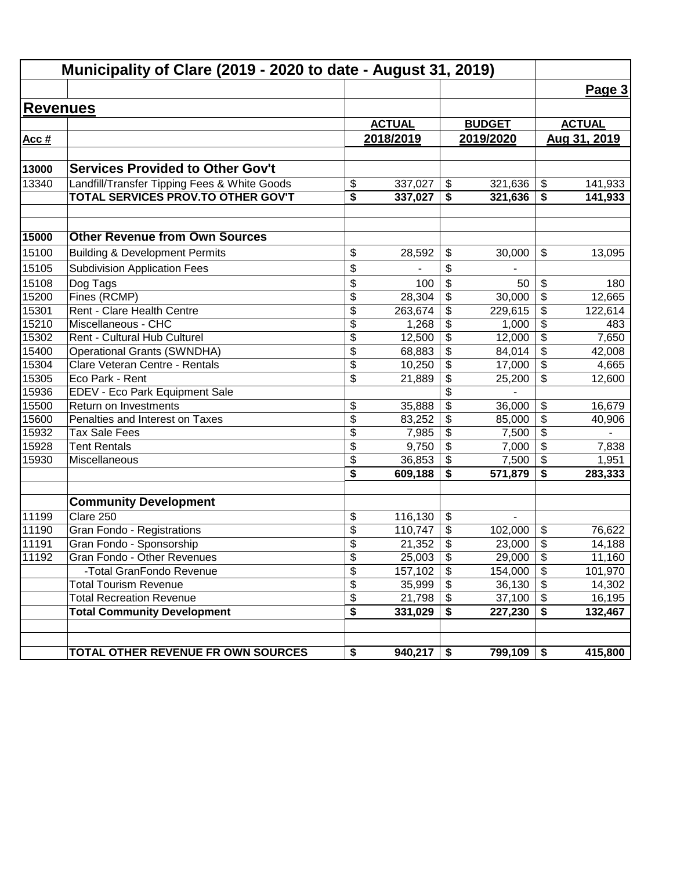| Municipality of Clare (2019 - 2020 to date - August 31, 2019) |                                              |                                        |               |                            |                          |                           |               |
|---------------------------------------------------------------|----------------------------------------------|----------------------------------------|---------------|----------------------------|--------------------------|---------------------------|---------------|
|                                                               |                                              |                                        |               |                            |                          |                           | Page 3        |
| <b>Revenues</b>                                               |                                              |                                        |               |                            |                          |                           |               |
|                                                               |                                              |                                        | <b>ACTUAL</b> |                            | <b>BUDGET</b>            |                           | <b>ACTUAL</b> |
| Acc #                                                         |                                              |                                        | 2018/2019     |                            | 2019/2020                |                           | Aug 31, 2019  |
|                                                               |                                              |                                        |               |                            |                          |                           |               |
| 13000                                                         | <b>Services Provided to Other Gov't</b>      |                                        |               |                            |                          |                           |               |
| 13340                                                         | Landfill/Transfer Tipping Fees & White Goods | \$                                     | 337,027       | $\boldsymbol{\mathsf{S}}$  | 321,636                  | \$                        | 141,933       |
|                                                               | TOTAL SERVICES PROV.TO OTHER GOV'T           | $\overline{\boldsymbol{s}}$            | 337,027       | \$                         | 321,636                  | \$                        | 141,933       |
|                                                               |                                              |                                        |               |                            |                          |                           |               |
|                                                               |                                              |                                        |               |                            |                          |                           |               |
| 15000                                                         | <b>Other Revenue from Own Sources</b>        |                                        |               |                            |                          |                           |               |
| 15100                                                         | <b>Building &amp; Development Permits</b>    | \$                                     | 28,592        | \$                         | 30,000                   | \$                        | 13,095        |
| 15105                                                         | <b>Subdivision Application Fees</b>          | \$                                     |               | \$                         |                          |                           |               |
| 15108                                                         | Dog Tags                                     | \$                                     | 100           | \$                         | 50                       | \$                        | 180           |
| 15200                                                         | Fines (RCMP)                                 | \$                                     | 28,304        | \$                         | 30,000                   | \$                        | 12,665        |
| 15301                                                         | Rent - Clare Health Centre                   | \$                                     | 263,674       | \$                         | 229,615                  | \$                        | 122,614       |
| 15210                                                         | Miscellaneous - CHC                          | \$                                     | 1,268         | \$                         | 1,000                    | \$                        | 483           |
| 15302                                                         | Rent - Cultural Hub Culturel                 | $\overline{\mathcal{S}}$               | 12,500        | $\boldsymbol{\mathsf{S}}$  | 12,000                   | $\overline{\mathbf{e}}$   | 7,650         |
| 15400                                                         | <b>Operational Grants (SWNDHA)</b>           | $\overline{\mathcal{S}}$               | 68,883        | \$                         | 84,014                   | $\overline{\mathbf{e}}$   | 42,008        |
| 15304                                                         | Clare Veteran Centre - Rentals               | $\overline{\mathcal{S}}$               | 10,250        | \$                         | 17,000                   | $\overline{\mathbf{e}}$   | 4,665         |
| 15305                                                         | Eco Park - Rent                              | \$                                     | 21,889        | \$                         | 25,200                   | \$                        | 12,600        |
| 15936                                                         | EDEV - Eco Park Equipment Sale               |                                        |               | \$                         |                          |                           |               |
| 15500                                                         | Return on Investments                        | \$                                     | 35,888        | \$                         | 36,000                   | \$                        | 16,679        |
| 15600                                                         | Penalties and Interest on Taxes              | $\overline{\$}$                        | 83,252        | \$                         | 85,000                   | $\overline{\$}$           | 40,906        |
| 15932                                                         | <b>Tax Sale Fees</b>                         | \$                                     | 7,985         | \$                         | 7,500                    | $\overline{\$}$           |               |
| 15928                                                         | <b>Tent Rentals</b>                          | $\overline{\$}$                        | 9,750         | \$                         | 7,000                    | $\overline{\$}$           | 7,838         |
| 15930                                                         | Miscellaneous                                | $\overline{\$}$                        | 36,853        | \$                         | 7,500                    | $\overline{\$}$           | 1,951         |
|                                                               |                                              | \$                                     | 609,188       | \$                         | 571,879                  | \$                        | 283,333       |
|                                                               |                                              |                                        |               |                            |                          |                           |               |
|                                                               | <b>Community Development</b>                 |                                        |               |                            |                          |                           |               |
| 11199                                                         | Clare 250                                    | \$                                     | 116,130       | $\frac{1}{2}$              | $\overline{\phantom{a}}$ |                           |               |
| 11190                                                         | Gran Fondo - Registrations                   | \$                                     | 110,747       | $\boldsymbol{\mathsf{S}}$  | 102,000                  | \$                        | 76,622        |
| 11191                                                         | Gran Fondo - Sponsorship                     | \$                                     | 21,352        | \$                         | 23,000                   | \$                        | 14,188        |
| 11192                                                         | Gran Fondo - Other Revenues                  | \$                                     | 25,003        | $\boldsymbol{\mathsf{\$}}$ | 29,000                   | \$                        | 11,160        |
|                                                               | -Total GranFondo Revenue                     | \$                                     | 157,102       | $\boldsymbol{\mathsf{s}}$  | 154,000                  | $\overline{\mathbf{s}}$   | 101,970       |
|                                                               | <b>Total Tourism Revenue</b>                 | \$                                     | 35,999        | $\boldsymbol{\mathsf{S}}$  | 36,130                   | $\boldsymbol{\mathsf{S}}$ | 14,302        |
|                                                               | <b>Total Recreation Revenue</b>              | $\overline{\boldsymbol{\mathfrak{s}}}$ | 21,798        | $\boldsymbol{\mathsf{S}}$  | 37,100                   | $\overline{\mathbf{S}}$   | 16,195        |
|                                                               | <b>Total Community Development</b>           | $\overline{\$}$                        | 331,029       | \$                         | 227,230                  | \$                        | 132,467       |
|                                                               |                                              |                                        |               |                            |                          |                           |               |
|                                                               | TOTAL OTHER REVENUE FR OWN SOURCES           | \$                                     | 940,217       | \$                         | 799,109                  | \$                        | 415,800       |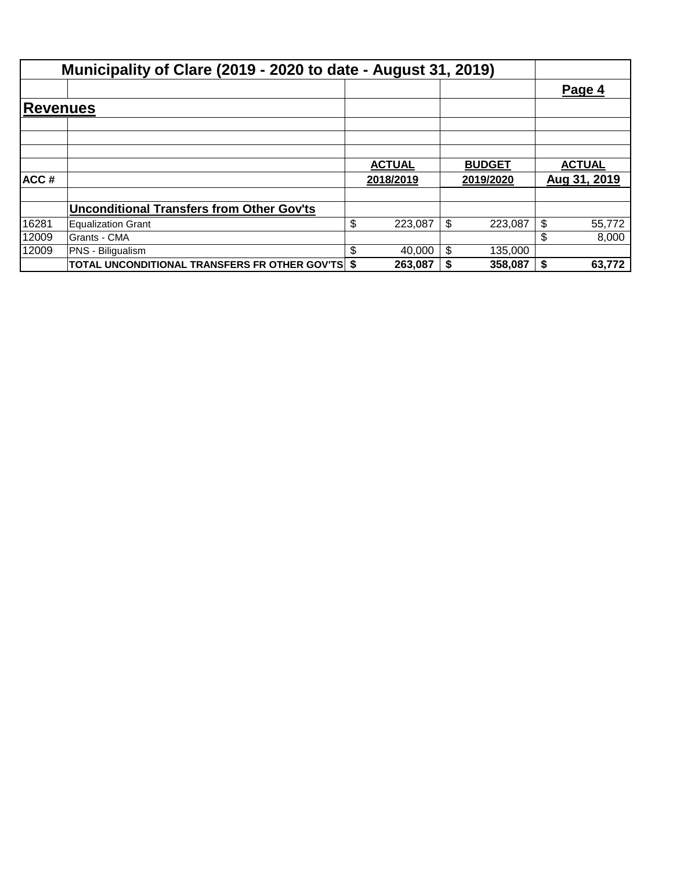|          | Municipality of Clare (2019 - 2020 to date - August 31, 2019) |               |    |               |    |               |
|----------|---------------------------------------------------------------|---------------|----|---------------|----|---------------|
|          |                                                               |               |    |               |    | Page 4        |
| Revenues |                                                               |               |    |               |    |               |
|          |                                                               |               |    |               |    |               |
|          |                                                               |               |    |               |    |               |
|          |                                                               |               |    |               |    |               |
|          |                                                               | <b>ACTUAL</b> |    | <b>BUDGET</b> |    | <b>ACTUAL</b> |
| ACC#     |                                                               | 2018/2019     |    | 2019/2020     |    | Aug 31, 2019  |
|          |                                                               |               |    |               |    |               |
|          | <b>Unconditional Transfers from Other Gov'ts</b>              |               |    |               |    |               |
| 16281    | <b>Equalization Grant</b>                                     | \$<br>223,087 | \$ | 223,087       | \$ | 55,772        |
| 12009    | Grants - CMA                                                  |               |    |               | \$ | 8,000         |
| 12009    | PNS - Biligualism                                             | \$<br>40,000  | \$ | 135,000       |    |               |
|          | <b>TOTAL UNCONDITIONAL TRANSFERS FR OTHER GOV'TS \$</b>       | 263,087       | S  | 358,087       | S  | 63,772        |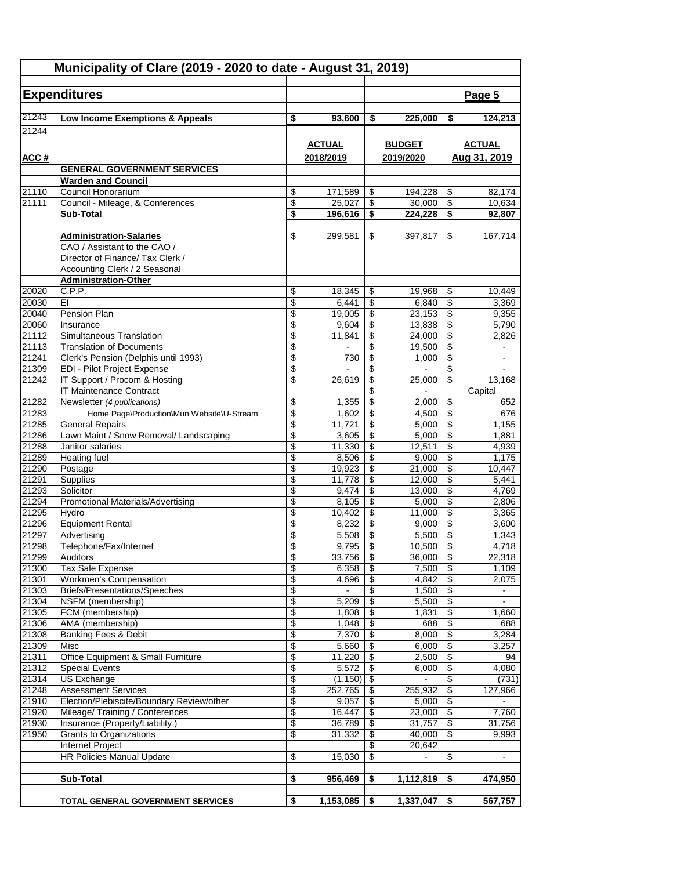| Municipality of Clare (2019 - 2020 to date - August 31, 2019) |                                                                  |                          |                  |                                      |                  |                                      |                          |
|---------------------------------------------------------------|------------------------------------------------------------------|--------------------------|------------------|--------------------------------------|------------------|--------------------------------------|--------------------------|
|                                                               | <b>Expenditures</b>                                              |                          |                  |                                      |                  |                                      | Page 5                   |
| 21243                                                         | Low Income Exemptions & Appeals                                  | \$                       | 93,600           | \$                                   | 225,000          | \$                                   | 124,213                  |
| 21244                                                         |                                                                  |                          |                  |                                      |                  |                                      |                          |
|                                                               |                                                                  |                          | <b>ACTUAL</b>    |                                      | <b>BUDGET</b>    |                                      | <b>ACTUAL</b>            |
| ACC#                                                          |                                                                  |                          | 2018/2019        |                                      | 2019/2020        |                                      | Aug 31, 2019             |
|                                                               | <b>GENERAL GOVERNMENT SERVICES</b>                               |                          |                  |                                      |                  |                                      |                          |
|                                                               | <b>Warden and Council</b>                                        |                          |                  |                                      |                  |                                      |                          |
| 21110                                                         | Council Honorarium                                               | \$                       | 171,589          | \$                                   | 194,228          | \$                                   | 82,174                   |
| 21111                                                         | Council - Mileage, & Conferences                                 | \$                       | 25,027           | $\overline{\boldsymbol{\theta}}$     | 30,000           | $\overline{\mathcal{E}}$             | 10,634                   |
|                                                               | <b>Sub-Total</b>                                                 | \$                       | 196,616          | $\overline{\boldsymbol{\mathsf{s}}}$ | 224,228          | $\overline{\boldsymbol{\mathsf{s}}}$ | 92,807                   |
|                                                               | <b>Administration-Salaries</b>                                   | \$                       | 299,581          | \$                                   | 397,817          | \$                                   | 167,714                  |
|                                                               | CAO / Assistant to the CAO /                                     |                          |                  |                                      |                  |                                      |                          |
|                                                               | Director of Finance/ Tax Clerk /                                 |                          |                  |                                      |                  |                                      |                          |
|                                                               | Accounting Clerk / 2 Seasonal                                    |                          |                  |                                      |                  |                                      |                          |
|                                                               | <b>Administration-Other</b>                                      |                          |                  |                                      |                  |                                      |                          |
| 20020<br>20030                                                | C.P.P.<br>EI                                                     | \$<br>\$                 | 18,345<br>6,441  | \$<br>\$                             | 19,968<br>6,840  | \$<br>\$                             | 10,449<br>3,369          |
| 20040                                                         | <b>Pension Plan</b>                                              | \$                       | 19,005           | \$                                   | 23,153           | \$                                   | 9,355                    |
| 20060                                                         | Insurance                                                        | \$                       | 9,604            | \$                                   | 13,838           | \$                                   | 5,790                    |
| 21112                                                         | Simultaneous Translation                                         | \$                       | 11,841           | \$                                   | 24,000           | \$                                   | 2,826                    |
| 21113                                                         | <b>Translation of Documents</b>                                  | \$                       |                  | \$                                   | 19,500           | \$                                   | $\blacksquare$           |
| 21241                                                         | Clerk's Pension (Delphis until 1993)                             | \$                       | 730              | \$                                   | 1,000            | $\overline{\$}$                      | $\blacksquare$           |
| 21309                                                         | EDI - Pilot Project Expense                                      | \$<br>\$                 |                  | \$                                   |                  | \$                                   |                          |
| 21242                                                         | IT Support / Procom & Hosting<br>IT Maintenance Contract         |                          | 26,619           | \$<br>\$                             | 25,000           | \$                                   | 13,168<br>Capital        |
| 21282                                                         | Newsletter (4 publications)                                      | \$                       | 1,355            | \$                                   | 2,000            | \$                                   | 652                      |
| 21283                                                         | Home Page\Production\Mun Website\U-Stream                        | \$                       | 1,602            | \$                                   | 4,500            | \$                                   | 676                      |
| 21285                                                         | <b>General Repairs</b>                                           | \$                       | 11,721           | \$                                   | 5,000            | \$                                   | 1,155                    |
| 21286                                                         | Lawn Maint / Snow Removal/ Landscaping                           | \$                       | 3,605            | \$                                   | 5,000            | \$                                   | 1,881                    |
| 21288                                                         | Janitor salaries                                                 | \$                       | 11,330           | \$                                   | 12,511           | \$                                   | 4,939                    |
| 21289                                                         | <b>Heating fuel</b>                                              | \$                       | 8,506            | \$                                   | 9,000            | $\overline{\$}$                      | 1,175                    |
| 21290<br>21291                                                | Postage<br>Supplies                                              | \$<br>\$                 | 19,923<br>11,778 | \$<br>\$                             | 21,000<br>12,000 | \$<br>$\overline{\$}$                | 10,447<br>5,441          |
| 21293                                                         | Solicitor                                                        | \$                       | 9,474            | \$                                   | 13,000           | \$                                   | 4,769                    |
| 21294                                                         | Promotional Materials/Advertising                                | \$                       | 8,105            | \$                                   | 5,000            | \$                                   | 2,806                    |
| 21295                                                         | Hvdro                                                            | \$                       | 10,402           | $\overline{\boldsymbol{\epsilon}}$   | 11,000           | $\overline{\mathcal{S}}$             | 3,365                    |
| 21296                                                         | <b>Equipment Rental</b>                                          | \$                       | 8,232            | \$                                   | 9,000            | \$                                   | 3,600                    |
| 21297                                                         | Advertising                                                      | \$                       | 5,508            | \$                                   | 5,500            | \$                                   | 1,343                    |
| 21298                                                         | Telephone/Fax/Internet<br>Auditors                               | \$                       | 9,795            | \$                                   | 10,500           | \$                                   | 4,718<br>22,318          |
| 21299<br>21300                                                | Tax Sale Expense                                                 | \$<br>\$                 | 33,756<br>6,358  | \$<br>\$                             | 36,000<br>7,500  | \$<br>$\overline{\$}$                | 1,109                    |
| 21301                                                         | <b>Workmen's Compensation</b>                                    | \$                       | 4,696            | \$                                   | 4,842            | $\overline{\mathcal{E}}$             | 2,075                    |
| 21303                                                         | <b>Briefs/Presentations/Speeches</b>                             | \$                       | $\blacksquare$   | \$                                   | 1,500            | $\overline{\mathbf{e}}$              | $\blacksquare$           |
| 21304                                                         | NSFM (membership)                                                | \$                       | 5,209            | \$                                   | 5,500            | $\overline{\mathbf{e}}$              | $\overline{\phantom{a}}$ |
| 21305                                                         | FCM (membership)                                                 | \$                       | 1,808            | $\overline{\mathbf{e}}$              | 1,831            | \$                                   | 1,660                    |
| 21306                                                         | AMA (membership)                                                 | \$                       | 1,048            | \$                                   | 688              | $\overline{\mathcal{E}}$             | 688                      |
| 21308<br>21309                                                | <b>Banking Fees &amp; Debit</b><br>Misc                          | \$<br>$\overline{\$}$    | 7,370<br>5,660   | \$<br>$\overline{\$}$                | 8,000<br>6,000   | \$<br>$\overline{\$}$                | 3,284<br>3,257           |
| 21311                                                         | Office Equipment & Small Furniture                               | \$                       | 11,220           | \$                                   | 2,500            | $\overline{\$}$                      | 94                       |
| 21312                                                         | <b>Special Events</b>                                            | \$                       | 5,572            | $\overline{\boldsymbol{\epsilon}}$   | 6,000            | $\overline{\$}$                      | 4,080                    |
| 21314                                                         | US Exchange                                                      | $\overline{\mathcal{E}}$ | (1, 150)         | $\overline{\mathbf{S}}$              | $\blacksquare$   | \$                                   | (731)                    |
| 21248                                                         | <b>Assessment Services</b>                                       | \$                       | 252,765          | \$                                   | 255,932          | \$                                   | 127,966                  |
| 21910                                                         | Election/Plebiscite/Boundary Review/other                        | \$                       | 9,057            | \$                                   | 5,000            | $\overline{\mathbf{e}}$              |                          |
| 21920                                                         | Mileage/ Training / Conferences                                  | \$<br>$\overline{\$}$    | 16,447           | \$                                   | 23,000           | \$<br>$\overline{\$}$                | 7,760                    |
| 21930<br>21950                                                | Insurance (Property/Liability)<br><b>Grants to Organizations</b> | \$                       | 36,789<br>31,332 | $\overline{\mathbf{e}}$<br>\$        | 31,757<br>40,000 | \$                                   | 31,756<br>9,993          |
|                                                               | Internet Project                                                 |                          |                  | \$                                   | 20,642           |                                      |                          |
|                                                               | <b>HR Policies Manual Update</b>                                 | \$                       | 15,030           | \$                                   |                  | \$                                   |                          |
|                                                               |                                                                  |                          |                  |                                      |                  |                                      |                          |
|                                                               | Sub-Total                                                        | \$                       | 956,469          | \$                                   | 1,112,819        | \$                                   | 474,950                  |
|                                                               |                                                                  |                          |                  |                                      |                  |                                      |                          |
|                                                               | TOTAL GENERAL GOVERNMENT SERVICES                                | \$                       | 1,153,085        | -\$                                  | 1,337,047        | \$                                   | 567,757                  |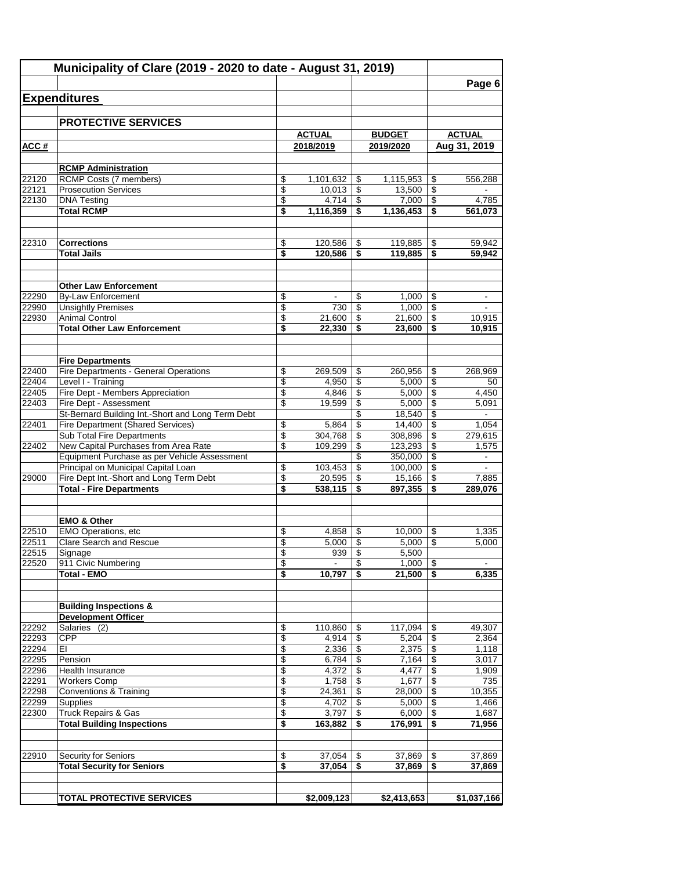|                | Municipality of Clare (2019 - 2020 to date - August 31, 2019)          |                 |                  |          |                   |                         | Page 6           |
|----------------|------------------------------------------------------------------------|-----------------|------------------|----------|-------------------|-------------------------|------------------|
|                | <b>Expenditures</b>                                                    |                 |                  |          |                   |                         |                  |
|                |                                                                        |                 |                  |          |                   |                         |                  |
|                | <b>PROTECTIVE SERVICES</b>                                             |                 |                  |          |                   |                         |                  |
|                |                                                                        |                 | <b>ACTUAL</b>    |          | <b>BUDGET</b>     |                         | <b>ACTUAL</b>    |
| ACC#           |                                                                        |                 | 2018/2019        |          | 2019/2020         |                         | Aug 31, 2019     |
|                |                                                                        |                 |                  |          |                   |                         |                  |
| 22120          | <b>RCMP Administration</b><br><b>RCMP Costs (7 members)</b>            | \$              | 1,101,632        | \$       | 1,115,953         | \$                      | 556.288          |
| 22121          | <b>Prosecution Services</b>                                            | \$              | 10,013           | \$       | 13,500            | \$                      |                  |
| 22130          | <b>DNA Testing</b>                                                     | \$              | 4,714            | \$       | 7,000             | \$                      | 4,785            |
|                | <b>Total RCMP</b>                                                      | \$              | 1,116,359        | \$       | 1,136,453         | \$                      | 561,073          |
| 22310          | <b>Corrections</b>                                                     | \$              | 120,586          | \$       | 119,885           | \$                      | 59,942           |
|                | <b>Total Jails</b>                                                     | \$              | 120,586          | \$       | 119,885           | \$                      | 59,942           |
|                |                                                                        |                 |                  |          |                   |                         |                  |
|                | <b>Other Law Enforcement</b>                                           |                 |                  |          |                   |                         |                  |
| 22290          | <b>By-Law Enforcement</b>                                              | \$              |                  | \$       | 1,000             | \$                      |                  |
| 22990          | <b>Unsightly Premises</b>                                              | \$              | 730              | \$       | 1,000             | \$                      |                  |
| 22930          | <b>Animal Control</b><br><b>Total Other Law Enforcement</b>            | \$<br>\$        | 21,600<br>22,330 | \$<br>\$ | 21,600<br>23,600  | \$<br>\$                | 10,915<br>10,915 |
|                |                                                                        |                 |                  |          |                   |                         |                  |
|                | <b>Fire Departments</b>                                                |                 |                  |          |                   |                         |                  |
| 22400          | Fire Departments - General Operations                                  | \$              | 269,509          | \$       | 260,956           | \$                      | 268,969          |
| 22404          | Level I - Training                                                     | $\overline{\$}$ | 4,950            | \$       | 5,000             | \$                      | 50               |
| 22405          | Fire Dept - Members Appreciation                                       | \$              | 4,846            | \$       | 5,000             | \$                      | 4,450            |
| 22403          | Fire Dept - Assessment                                                 | \$              | 19,599           | \$       | 5,000             | \$                      | 5,091            |
|                | St-Bernard Building Int.-Short and Long Term Debt                      |                 |                  | \$       | 18,540            | \$                      |                  |
| 22401          | Fire Department (Shared Services)<br><b>Sub Total Fire Departments</b> | \$<br>\$        | 5,864<br>304,768 | \$<br>\$ | 14,400<br>308,896 | \$<br>\$                | 1,054<br>279,615 |
| 22402          | New Capital Purchases from Area Rate                                   | \$              | 109,299          | \$       | 123,293           | \$                      | 1,575            |
|                | Equipment Purchase as per Vehicle Assessment                           |                 |                  | \$       | 350,000           | \$                      |                  |
|                | Principal on Municipal Capital Loan                                    | \$              | 103,453          | \$       | 100,000           | \$                      |                  |
| 29000          | Fire Dept Int.-Short and Long Term Debt                                | \$              | 20,595           | \$       | 15,166            | \$                      | 7,885            |
|                | <b>Total - Fire Departments</b>                                        | \$              | 538,115          | \$       | 897,355           | \$                      | 289,076          |
|                | <b>EMO &amp; Other</b>                                                 |                 |                  |          |                   |                         |                  |
| 22510          | <b>EMO Operations, etc</b>                                             | \$              | 4,858            | \$       | 10,000            | \$                      | 1.335            |
| 22511          | Clare Search and Rescue                                                | \$              | $5,000$          | \$       | $5,000$   \$      |                         | 5,000            |
| 22515          | Signage                                                                | \$              | 939              | \$       | 5,500             |                         |                  |
| 22520          | 911 Civic Numbering                                                    | \$              |                  | \$       | 1,000             | \$                      |                  |
|                | <b>Total - EMO</b>                                                     | \$              | 10,797           | \$       | 21,500            | $\overline{\mathbf{3}}$ | 6,335            |
|                | <b>Building Inspections &amp;</b>                                      |                 |                  |          |                   |                         |                  |
|                | <b>Development Officer</b>                                             |                 |                  |          |                   |                         |                  |
| 22292          | Salaries (2)                                                           | \$              | 110,860          | \$       | 117,094           | \$                      | 49,307           |
| 22293          | <b>CPP</b>                                                             | \$              | 4,914            | \$       | 5,204             | $\overline{\$}$         | 2,364            |
| 22294          | EI                                                                     | \$              | 2,336            | \$       | 2,375             | \$                      | 1,118            |
| 22295          | Pension                                                                | \$              | 6,784            | \$       | 7,164             | \$                      | 3,017            |
| 22296<br>22291 | Health Insurance<br><b>Workers Comp</b>                                | \$<br>\$        | 4,372<br>1,758   | \$<br>\$ | 4,477<br>1,677    | \$<br>\$                | 1,909<br>735     |
| 22298          | <b>Conventions &amp; Training</b>                                      | \$              | 24,361           | \$       | 28,000            | \$                      | 10,355           |
| 22299          | Supplies                                                               | \$              | 4,702            | \$       | 5,000             | \$                      | 1,466            |
| 22300          | Truck Repairs & Gas                                                    | \$              | 3,797            | \$       | 6,000             | \$                      | 1,687            |
|                | <b>Total Building Inspections</b>                                      | \$              | 163,882          | \$       | 176,991           | \$                      | 71,956           |
|                |                                                                        |                 |                  |          |                   |                         |                  |
| 22910          | <b>Security for Seniors</b>                                            | \$              | 37,054           | \$       | 37,869            | \$                      | 37,869           |
|                | <b>Total Security for Seniors</b>                                      | \$              | 37,054           | \$       | 37,869            | \$                      | 37,869           |
|                | <b>TOTAL PROTECTIVE SERVICES</b>                                       |                 | \$2,009,123      |          | \$2,413,653       |                         | \$1,037,166      |
|                |                                                                        |                 |                  |          |                   |                         |                  |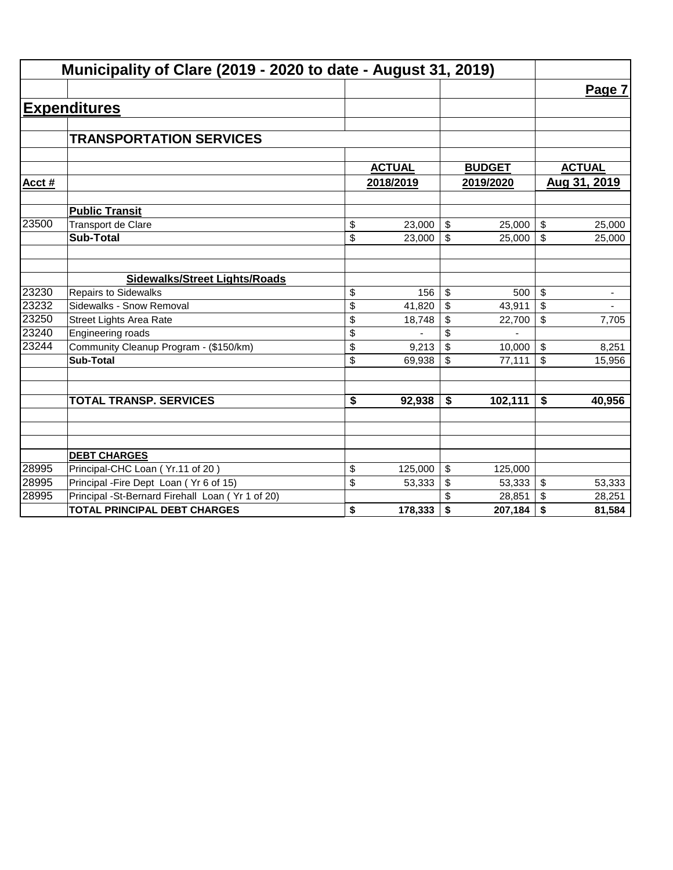| Municipality of Clare (2019 - 2020 to date - August 31, 2019) |                                                  |               |                           |               |                                |
|---------------------------------------------------------------|--------------------------------------------------|---------------|---------------------------|---------------|--------------------------------|
|                                                               |                                                  |               |                           |               | Page 7                         |
|                                                               | <b>Expenditures</b>                              |               |                           |               |                                |
|                                                               |                                                  |               |                           |               |                                |
|                                                               | <b>TRANSPORTATION SERVICES</b>                   |               |                           |               |                                |
|                                                               |                                                  |               |                           |               |                                |
|                                                               |                                                  | <b>ACTUAL</b> |                           | <b>BUDGET</b> | <b>ACTUAL</b>                  |
| Acct #                                                        |                                                  | 2018/2019     | 2019/2020                 |               | Aug 31, 2019                   |
|                                                               | <b>Public Transit</b>                            |               |                           |               |                                |
| 23500                                                         | <b>Transport de Clare</b>                        | \$<br>23,000  | $\boldsymbol{\mathsf{S}}$ | 25,000        | \$<br>25,000                   |
|                                                               | <b>Sub-Total</b>                                 | \$<br>23,000  | \$                        | 25,000        | \$<br>25,000                   |
|                                                               |                                                  |               |                           |               |                                |
|                                                               | <b>Sidewalks/Street Lights/Roads</b>             |               |                           |               |                                |
| 23230                                                         | <b>Repairs to Sidewalks</b>                      | \$<br>156     | \$                        | 500           | \$<br>$\overline{\phantom{a}}$ |
| 23232                                                         | Sidewalks - Snow Removal                         | \$<br>41,820  | \$                        | 43,911        | \$<br>$\overline{\phantom{a}}$ |
| 23250                                                         | <b>Street Lights Area Rate</b>                   | \$<br>18,748  | \$                        | 22,700        | \$<br>7,705                    |
| 23240                                                         | Engineering roads                                | \$            | \$                        |               |                                |
| 23244                                                         | Community Cleanup Program - (\$150/km)           | \$<br>9,213   | \$                        | 10,000        | \$<br>8,251                    |
|                                                               | <b>Sub-Total</b>                                 | \$<br>69,938  | \$                        | 77,111        | \$<br>15,956                   |
|                                                               |                                                  |               |                           |               |                                |
|                                                               | <b>TOTAL TRANSP. SERVICES</b>                    | \$<br>92,938  | \$                        | 102,111       | \$<br>40,956                   |
|                                                               |                                                  |               |                           |               |                                |
|                                                               |                                                  |               |                           |               |                                |
|                                                               | <b>DEBT CHARGES</b>                              |               |                           |               |                                |
| 28995                                                         | Principal-CHC Loan (Yr.11 of 20)                 | \$<br>125,000 | \$                        | 125,000       |                                |
| 28995                                                         | Principal - Fire Dept Loan (Yr 6 of 15)          | \$<br>53,333  | \$                        | 53,333        | \$<br>53,333                   |
| 28995                                                         | Principal -St-Bernard Firehall Loan (Yr 1 of 20) |               |                           | 28,851        | \$<br>28,251                   |
|                                                               | <b>TOTAL PRINCIPAL DEBT CHARGES</b>              | \$<br>178,333 | \$                        | 207,184       | \$<br>81,584                   |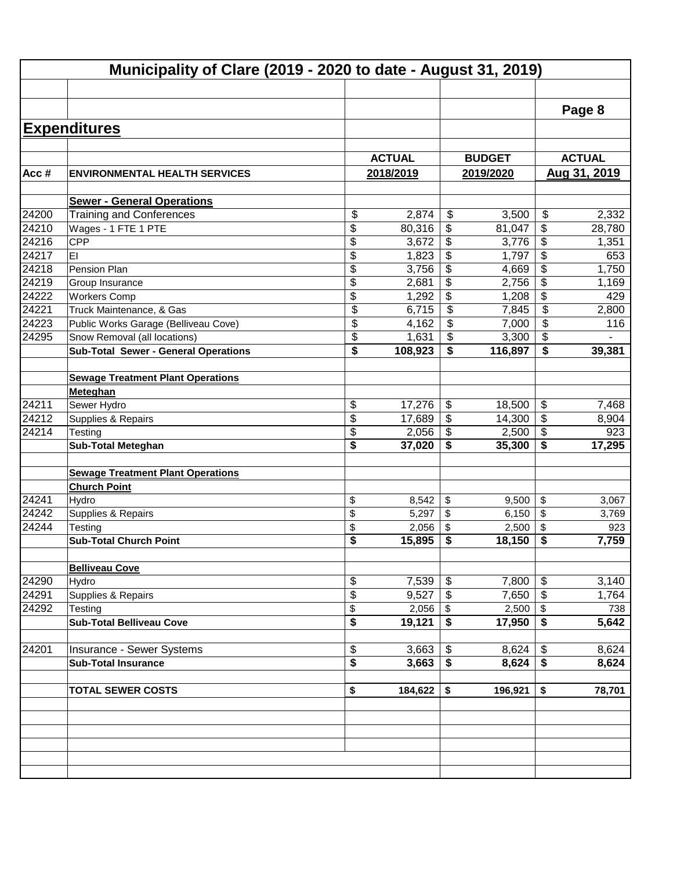|       |                                             |               |                                      |               |                         | Page 8        |  |
|-------|---------------------------------------------|---------------|--------------------------------------|---------------|-------------------------|---------------|--|
|       | <b>Expenditures</b>                         |               |                                      |               |                         |               |  |
|       |                                             | <b>ACTUAL</b> |                                      | <b>BUDGET</b> |                         | <b>ACTUAL</b> |  |
| Acc#  | <b>ENVIRONMENTAL HEALTH SERVICES</b>        | 2018/2019     |                                      | 2019/2020     |                         | Aug 31, 2019  |  |
|       |                                             |               |                                      |               |                         |               |  |
|       | <b>Sewer - General Operations</b>           |               |                                      |               |                         |               |  |
| 24200 | <b>Training and Conferences</b>             | \$<br>2,874   | \$                                   | 3,500         | \$                      | 2,332         |  |
| 24210 | Wages - 1 FTE 1 PTE                         | \$<br>80,316  | \$                                   | 81,047        | \$                      | 28,780        |  |
| 24216 | <b>CPP</b>                                  | \$<br>3,672   | \$                                   | 3,776         | \$                      | 1,351         |  |
| 24217 | EI                                          | \$<br>1,823   | \$                                   | 1,797         | \$                      | 653           |  |
| 24218 | Pension Plan                                | \$<br>3,756   | \$                                   | 4,669         | \$                      | 1,750         |  |
| 24219 | Group Insurance                             | \$<br>2,681   | \$                                   | 2,756         | \$                      | 1,169         |  |
| 24222 | <b>Workers Comp</b>                         | \$<br>1,292   | $\overline{\mathbf{3}}$              | 1,208         | \$                      | 429           |  |
| 24221 | Truck Maintenance, & Gas                    | \$<br>6,715   | \$                                   | 7,845         | \$                      | 2,800         |  |
| 24223 | Public Works Garage (Belliveau Cove)        | \$<br>4,162   | \$                                   | 7,000         | \$                      | 116           |  |
| 24295 | Snow Removal (all locations)                | \$<br>1,631   | \$                                   | 3,300         | \$                      |               |  |
|       | <b>Sub-Total Sewer - General Operations</b> | \$<br>108,923 | \$                                   | 116,897       | \$                      | 39,381        |  |
|       |                                             |               |                                      |               |                         |               |  |
|       | <b>Sewage Treatment Plant Operations</b>    |               |                                      |               |                         |               |  |
|       | Meteghan                                    |               |                                      |               |                         |               |  |
| 24211 | Sewer Hydro                                 | \$<br>17,276  | \$                                   | 18,500        | \$                      | 7,468         |  |
| 24212 | Supplies & Repairs                          | \$<br>17,689  | \$                                   | 14,300        | \$                      | 8,904         |  |
| 24214 | Testing                                     | \$<br>2,056   | \$                                   | 2,500         | $\sqrt[6]{\frac{1}{2}}$ | 923           |  |
|       | <b>Sub-Total Meteghan</b>                   | \$<br>37,020  | \$                                   | 35,300        | \$                      | 17,295        |  |
|       | <b>Sewage Treatment Plant Operations</b>    |               |                                      |               |                         |               |  |
|       | <b>Church Point</b>                         |               |                                      |               |                         |               |  |
| 24241 | Hydro                                       | \$<br>8,542   | \$                                   | 9,500         | $\sqrt{2}$              | 3,067         |  |
| 24242 | Supplies & Repairs                          | \$<br>5,297   | \$                                   | 6,150         | \$                      | 3,769         |  |
| 24244 | Testing                                     | \$<br>2,056   | \$                                   | 2,500         | \$                      | 923           |  |
|       | <b>Sub-Total Church Point</b>               | \$<br>15,895  | \$                                   | 18,150        | \$                      | 7,759         |  |
|       | <b>Belliveau Cove</b>                       |               |                                      |               |                         |               |  |
| 24290 | Hydro                                       | \$<br>7,539   | \$                                   | 7,800         | \$                      | 3,140         |  |
| 24291 | Supplies & Repairs                          | \$<br>9,527   | \$                                   | $7,650$ \ \$  |                         | 1,764         |  |
| 24292 | Testing                                     | \$<br>2,056   | $\boldsymbol{\mathsf{S}}$            | $2,500$ \$    |                         | 738           |  |
|       | <b>Sub-Total Belliveau Cove</b>             | \$<br>19,121  | $\overline{\boldsymbol{\mathsf{s}}}$ | $17,950$ \$   |                         | 5,642         |  |
| 24201 |                                             |               | \$                                   |               |                         |               |  |
|       | Insurance - Sewer Systems                   | \$<br>3,663   | $\overline{\boldsymbol{\mathsf{s}}}$ | 8,624         | $\boldsymbol{\$}$       | 8,624         |  |
|       | <b>Sub-Total Insurance</b>                  | \$<br>3,663   |                                      | 8,624         | $\overline{\bullet}$    | 8,624         |  |
|       | <b>TOTAL SEWER COSTS</b>                    | \$<br>184,622 | \$                                   | 196,921       | \$                      | 78,701        |  |
|       |                                             |               |                                      |               |                         |               |  |
|       |                                             |               |                                      |               |                         |               |  |
|       |                                             |               |                                      |               |                         |               |  |
|       |                                             |               |                                      |               |                         |               |  |
|       |                                             |               |                                      |               |                         |               |  |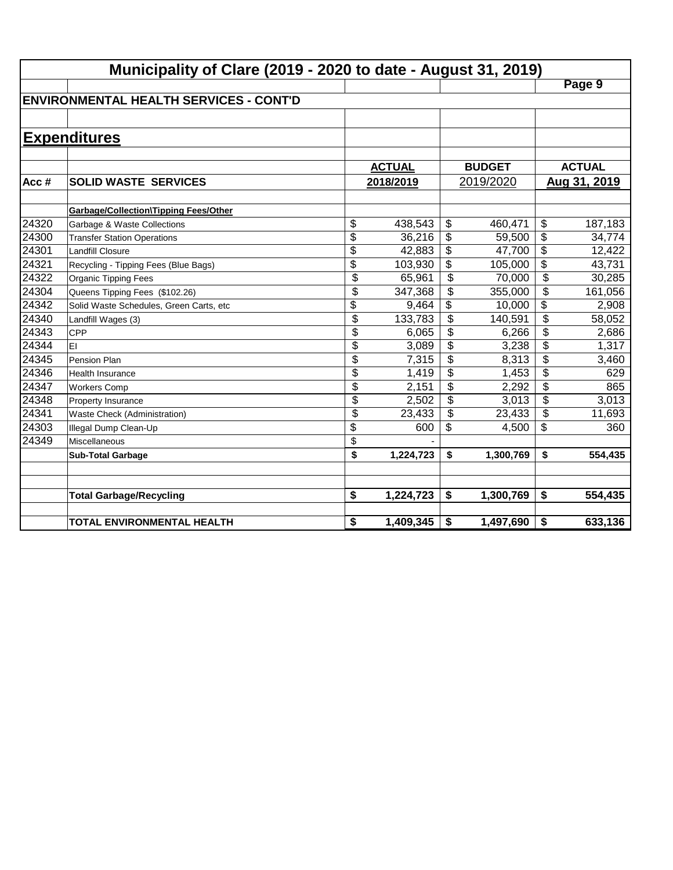|       | Municipality of Clare (2019 - 2020 to date - August 31, 2019) |                 |               |                           |               |                           |               |  |  |  |
|-------|---------------------------------------------------------------|-----------------|---------------|---------------------------|---------------|---------------------------|---------------|--|--|--|
|       |                                                               |                 |               |                           |               |                           | Page 9        |  |  |  |
|       | <b>ENVIRONMENTAL HEALTH SERVICES - CONT'D</b>                 |                 |               |                           |               |                           |               |  |  |  |
|       |                                                               |                 |               |                           |               |                           |               |  |  |  |
|       | <b>Expenditures</b>                                           |                 |               |                           |               |                           |               |  |  |  |
|       |                                                               |                 |               |                           |               |                           |               |  |  |  |
|       |                                                               |                 | <b>ACTUAL</b> |                           | <b>BUDGET</b> |                           | <b>ACTUAL</b> |  |  |  |
| Acc#  | <b>SOLID WASTE SERVICES</b>                                   |                 | 2018/2019     |                           | 2019/2020     |                           | Aug 31, 2019  |  |  |  |
|       |                                                               |                 |               |                           |               |                           |               |  |  |  |
|       | Garbage/Collection\Tipping Fees/Other                         |                 |               |                           |               |                           |               |  |  |  |
| 24320 | Garbage & Waste Collections                                   | \$              | 438,543       | \$                        | 460,471       | \$                        | 187,183       |  |  |  |
| 24300 | <b>Transfer Station Operations</b>                            | \$              | 36,216        | \$                        | 59,500        | $\overline{\$}$           | 34,774        |  |  |  |
| 24301 | <b>Landfill Closure</b>                                       | $\overline{\$}$ | 42,883        | \$                        | 47,700        | $\overline{\$}$           | 12,422        |  |  |  |
| 24321 | Recycling - Tipping Fees (Blue Bags)                          | $\overline{\$}$ | 103,930       | \$                        | 105,000       | $\overline{\$}$           | 43,731        |  |  |  |
| 24322 | <b>Organic Tipping Fees</b>                                   | \$              | 65,961        | $\overline{\mathcal{S}}$  | 70,000        | $\overline{\mathcal{L}}$  | 30,285        |  |  |  |
| 24304 | Queens Tipping Fees (\$102.26)                                | \$              | 347,368       | \$                        | 355,000       | \$                        | 161,056       |  |  |  |
| 24342 | Solid Waste Schedules, Green Carts, etc                       | \$              | 9,464         | \$                        | 10,000        | $\overline{\mathfrak{s}}$ | 2,908         |  |  |  |
| 24340 | Landfill Wages (3)                                            | \$              | 133,783       | $\overline{\mathcal{L}}$  | 140,591       | $\overline{\mathcal{L}}$  | 58,052        |  |  |  |
| 24343 | CPP                                                           | \$              | 6,065         | \$                        | 6,266         | \$                        | 2,686         |  |  |  |
| 24344 | EI                                                            | \$              | 3,089         | \$                        | 3,238         | \$                        | 1,317         |  |  |  |
| 24345 | Pension Plan                                                  | \$              | 7,315         | \$                        | 8,313         | \$                        | 3,460         |  |  |  |
| 24346 | <b>Health Insurance</b>                                       | \$              | 1,419         | $\boldsymbol{\mathsf{S}}$ | 1,453         | \$                        | 629           |  |  |  |
| 24347 | <b>Workers Comp</b>                                           | \$              | 2,151         | \$                        | 2,292         | \$                        | 865           |  |  |  |
| 24348 | Property Insurance                                            | \$              | 2,502         | \$                        | 3,013         | \$                        | 3,013         |  |  |  |
| 24341 | Waste Check (Administration)                                  | \$              | 23,433        | \$                        | 23,433        | \$                        | 11,693        |  |  |  |
| 24303 | Illegal Dump Clean-Up                                         | \$              | 600           | \$                        | 4,500         | \$                        | 360           |  |  |  |
| 24349 | Miscellaneous                                                 | \$              |               |                           |               |                           |               |  |  |  |
|       | <b>Sub-Total Garbage</b>                                      | \$              | 1,224,723     | \$                        | 1,300,769     | \$                        | 554,435       |  |  |  |
|       |                                                               |                 |               |                           |               |                           |               |  |  |  |
|       |                                                               |                 |               |                           |               |                           |               |  |  |  |
|       | <b>Total Garbage/Recycling</b>                                | \$              | 1,224,723     | \$                        | 1,300,769     | \$                        | 554,435       |  |  |  |
|       | TOTAL ENVIRONMENTAL HEALTH                                    | \$              | 1,409,345     | \$                        | 1,497,690     | \$                        | 633,136       |  |  |  |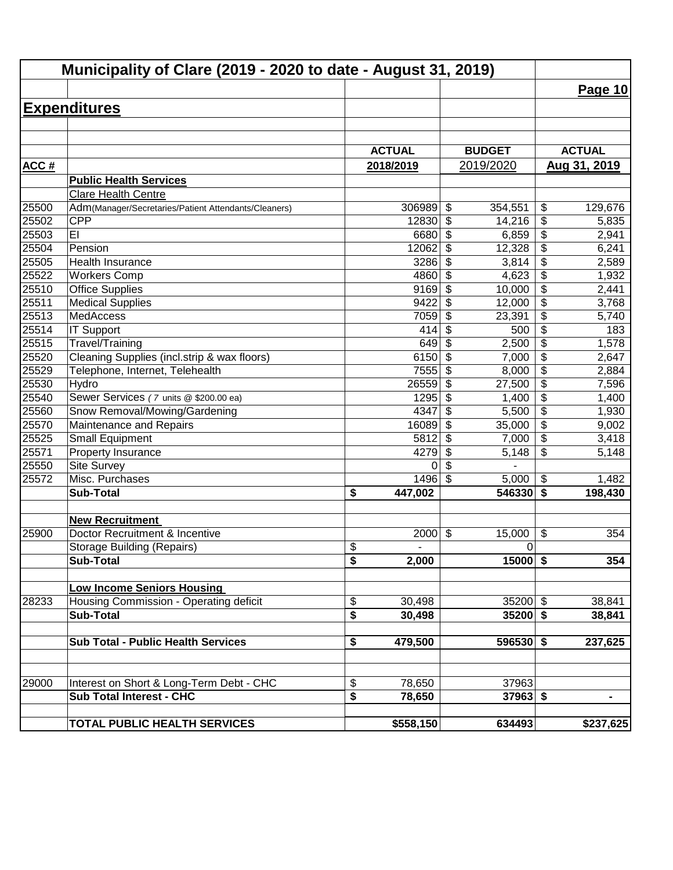| Municipality of Clare (2019 - 2020 to date - August 31, 2019) |                                                      |                               |                                      |                                        |  |  |
|---------------------------------------------------------------|------------------------------------------------------|-------------------------------|--------------------------------------|----------------------------------------|--|--|
|                                                               |                                                      |                               |                                      | <b>Page 10</b>                         |  |  |
|                                                               | <b>Expenditures</b>                                  |                               |                                      |                                        |  |  |
|                                                               |                                                      |                               |                                      |                                        |  |  |
|                                                               |                                                      |                               |                                      |                                        |  |  |
|                                                               |                                                      | <b>ACTUAL</b>                 | <b>BUDGET</b>                        | <b>ACTUAL</b>                          |  |  |
| ACC#                                                          |                                                      | 2018/2019                     | 2019/2020                            | Aug 31, 2019                           |  |  |
|                                                               | <b>Public Health Services</b>                        |                               |                                      |                                        |  |  |
|                                                               | Clare Health Centre                                  |                               |                                      |                                        |  |  |
| 25500                                                         | Adm(Manager/Secretaries/Patient Attendants/Cleaners) | 306989                        | $\boldsymbol{\mathsf{S}}$<br>354,551 | \$<br>129,676                          |  |  |
| 25502                                                         | <b>CPP</b>                                           | 12830                         | $\boldsymbol{\mathsf{S}}$<br>14,216  | \$<br>5,835                            |  |  |
| 25503                                                         | EI                                                   | 6680                          | \$<br>6,859                          | $\overline{\mathbf{S}}$<br>2,941       |  |  |
| 25504                                                         | Pension                                              | 12062                         | \$<br>12,328                         | $\overline{\mathcal{E}}$<br>6,241      |  |  |
| 25505                                                         | Health Insurance                                     | 3286                          | \$<br>3,814                          | $\overline{\$}$<br>2,589               |  |  |
| 25522                                                         | <b>Workers Comp</b>                                  | 4860                          | \$<br>4,623                          | $\overline{\$}$<br>1,932               |  |  |
| 25510                                                         | <b>Office Supplies</b>                               | 9169                          | \$<br>10,000                         | $\overline{\$}$<br>2,441               |  |  |
| 25511                                                         | <b>Medical Supplies</b>                              | 9422                          | $\boldsymbol{\mathsf{S}}$<br>12,000  | $\overline{\$}$<br>3,768               |  |  |
| 25513                                                         | <b>MedAccess</b>                                     | 7059                          | $\boldsymbol{\mathsf{S}}$<br>23,391  | $\overline{\$}$<br>5,740               |  |  |
| 25514                                                         | <b>IT Support</b>                                    | 414                           | 500<br>\$                            | $\overline{\$}$<br>183                 |  |  |
| 25515                                                         | Travel/Training                                      | 649                           | \$<br>2,500                          | $\overline{\$}$<br>1,578               |  |  |
| 25520                                                         | Cleaning Supplies (incl.strip & wax floors)          | 6150                          | \$<br>7,000                          | \$<br>2,647                            |  |  |
| 25529                                                         | Telephone, Internet, Telehealth                      | 7555                          | \$<br>8,000                          | $\overline{\$}$<br>2,884               |  |  |
| 25530                                                         | Hydro                                                | 26559                         | $\boldsymbol{\mathsf{S}}$<br>27,500  | $\overline{\$}$<br>7,596               |  |  |
| 25540                                                         | Sewer Services (7 units @ \$200.00 ea)               | 1295                          | \$<br>1,400                          | $\overline{\mathfrak{s}}$<br>1,400     |  |  |
| 25560                                                         | Snow Removal/Mowing/Gardening                        | 4347                          | \$<br>5,500                          | $\overline{\mathfrak{s}}$<br>1,930     |  |  |
| 25570                                                         | Maintenance and Repairs                              | 16089                         | \$<br>35,000                         | \$<br>9,002                            |  |  |
| 25525                                                         | <b>Small Equipment</b>                               | 5812                          | \$<br>7,000                          | \$<br>3,418                            |  |  |
| 25571                                                         | Property Insurance                                   | 4279                          | \$<br>5,148                          | \$<br>5,148                            |  |  |
| 25550                                                         | <b>Site Survey</b>                                   | 0                             | \$                                   |                                        |  |  |
| 25572                                                         | Misc. Purchases                                      | 1496                          | \$<br>5,000                          | \$<br>1,482                            |  |  |
|                                                               | <b>Sub-Total</b>                                     | \$<br>447,002                 | 546330                               | $\overline{\boldsymbol{s}}$<br>198,430 |  |  |
|                                                               | <b>New Recruitment</b>                               |                               |                                      |                                        |  |  |
| 25900                                                         | Doctor Recruitment & Incentive                       | 2000                          | \$<br>15,000                         | \$<br>354                              |  |  |
|                                                               | <b>Storage Building (Repairs)</b>                    | \$                            | $\mathbf 0$                          |                                        |  |  |
|                                                               | <b>Sub-Total</b>                                     | $\overline{\bullet}$<br>2,000 | $15000$ \$                           | 354                                    |  |  |
|                                                               | <b>Low Income Seniors Housing</b>                    |                               |                                      |                                        |  |  |
| 28233                                                         | Housing Commission - Operating deficit               | \$<br>30,498                  | $35200$ \$                           | 38,841                                 |  |  |
|                                                               | <b>Sub-Total</b>                                     | \$<br>30,498                  | $35200$ \$                           | 38,841                                 |  |  |
|                                                               |                                                      |                               |                                      |                                        |  |  |
|                                                               | <b>Sub Total - Public Health Services</b>            | \$<br>479,500                 | 596530 \$                            | 237,625                                |  |  |
|                                                               |                                                      |                               |                                      |                                        |  |  |
| 29000                                                         | Interest on Short & Long-Term Debt - CHC             | \$<br>78,650                  | 37963                                |                                        |  |  |
|                                                               | <b>Sub Total Interest - CHC</b>                      | \$<br>78,650                  | $37963$ \$                           | Ξ.                                     |  |  |
|                                                               | TOTAL PUBLIC HEALTH SERVICES                         | \$558,150                     | 634493                               | \$237,625                              |  |  |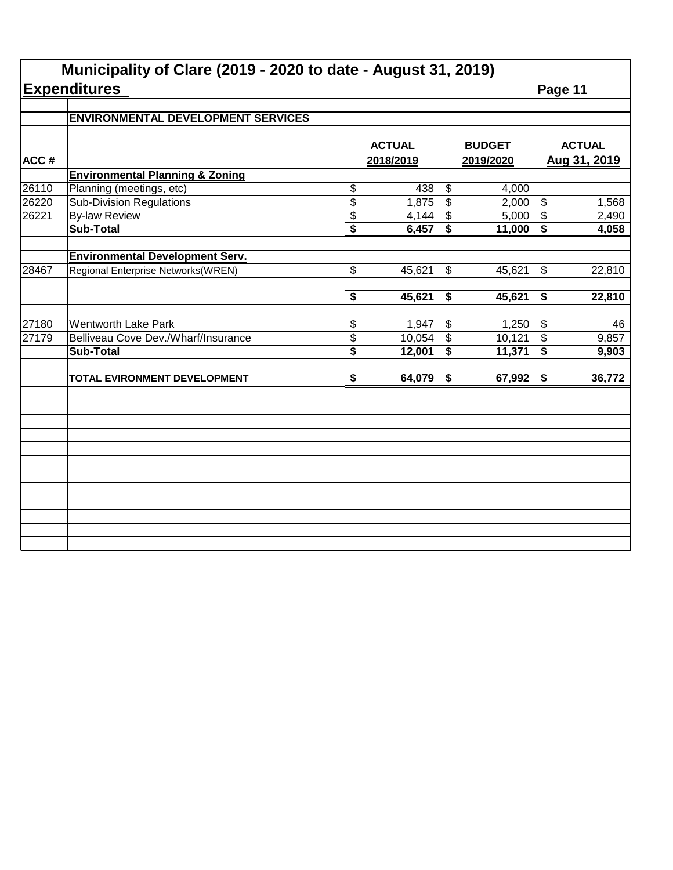|       | Municipality of Clare (2019 - 2020 to date - August 31, 2019) |                                      |               |                           |               |                            |               |
|-------|---------------------------------------------------------------|--------------------------------------|---------------|---------------------------|---------------|----------------------------|---------------|
|       | <b>Expenditures</b>                                           |                                      |               |                           |               | Page 11                    |               |
|       | <b>ENVIRONMENTAL DEVELOPMENT SERVICES</b>                     |                                      |               |                           |               |                            |               |
|       |                                                               |                                      | <b>ACTUAL</b> |                           | <b>BUDGET</b> |                            | <b>ACTUAL</b> |
| ACC#  |                                                               |                                      | 2018/2019     | 2019/2020                 |               | Aug 31, 2019               |               |
|       | <b>Environmental Planning &amp; Zoning</b>                    |                                      |               |                           |               |                            |               |
| 26110 | Planning (meetings, etc)                                      | \$                                   | 438           | \$                        | 4,000         |                            |               |
| 26220 | <b>Sub-Division Regulations</b>                               | $\overline{\$}$                      | 1,875         | $\overline{\$}$           | 2,000         | $\boldsymbol{\mathsf{S}}$  | 1,568         |
| 26221 | <b>By-law Review</b>                                          | \$                                   | 4,144         | \$                        | 5,000         | $\boldsymbol{\mathcal{F}}$ | 2,490         |
|       | <b>Sub-Total</b>                                              | $\overline{\$}$                      | 6,457         | \$                        | 11,000        | \$                         | 4,058         |
|       | <b>Environmental Development Serv.</b>                        |                                      |               |                           |               |                            |               |
| 28467 | Regional Enterprise Networks(WREN)                            | \$                                   | 45,621        | \$                        | 45,621        | \$                         | 22,810        |
|       |                                                               | \$                                   | 45,621        | \$                        | 45,621        | \$                         | 22,810        |
| 27180 | <b>Wentworth Lake Park</b>                                    | \$                                   | 1,947         | \$                        | 1,250         | $\sqrt[6]{3}$              | 46            |
| 27179 | Belliveau Cove Dev./Wharf/Insurance                           | \$                                   | 10,054        | $\boldsymbol{\mathsf{S}}$ | 10,121        | $\boldsymbol{\mathsf{S}}$  | 9,857         |
|       | <b>Sub-Total</b>                                              | $\overline{\boldsymbol{\mathsf{s}}}$ | 12,001        | \$                        | 11,371        | $\overline{\bullet}$       | 9,903         |
|       | TOTAL EVIRONMENT DEVELOPMENT                                  | $\overline{\boldsymbol{\mathsf{s}}}$ | 64,079        | \$                        | 67,992        | \$                         | 36,772        |
|       |                                                               |                                      |               |                           |               |                            |               |
|       |                                                               |                                      |               |                           |               |                            |               |
|       |                                                               |                                      |               |                           |               |                            |               |
|       |                                                               |                                      |               |                           |               |                            |               |
|       |                                                               |                                      |               |                           |               |                            |               |
|       |                                                               |                                      |               |                           |               |                            |               |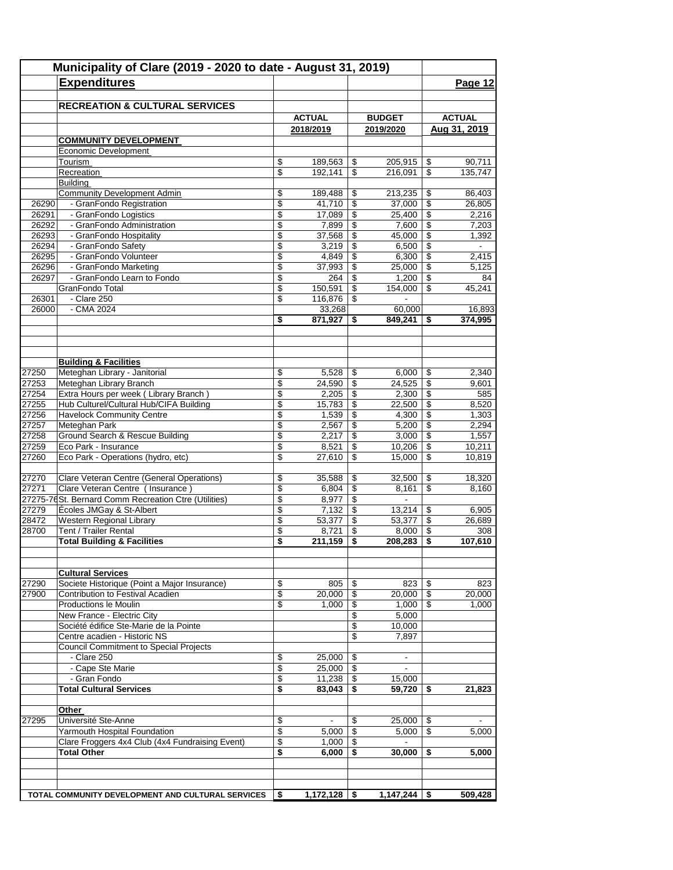|                | Municipality of Clare (2019 - 2020 to date - August 31, 2019) |          |                   |                          |                   |                          |                 |  |
|----------------|---------------------------------------------------------------|----------|-------------------|--------------------------|-------------------|--------------------------|-----------------|--|
|                | <b>Expenditures</b>                                           |          |                   |                          |                   |                          | Page 12         |  |
|                |                                                               |          |                   |                          |                   |                          |                 |  |
|                | <b>RECREATION &amp; CULTURAL SERVICES</b>                     |          |                   |                          |                   |                          |                 |  |
|                |                                                               |          | <b>ACTUAL</b>     |                          | <b>BUDGET</b>     |                          | <b>ACTUAL</b>   |  |
|                |                                                               |          | 2018/2019         |                          | 2019/2020         |                          | Aug 31, 2019    |  |
|                | <b>COMMUNITY DEVELOPMENT</b>                                  |          |                   |                          |                   |                          |                 |  |
|                | Economic Development                                          |          |                   |                          |                   |                          |                 |  |
|                | Tourism                                                       | \$       | 189,563           | \$                       | 205,915           | \$                       | 90,711          |  |
|                | Recreation                                                    | \$       | 192,141           | \$                       | 216,091           | \$                       | 135,747         |  |
|                | Building<br><b>Community Development Admin</b>                | \$       | 189,488           | \$                       | 213,235           | \$                       | 86,403          |  |
| 26290          | - GranFondo Registration                                      | \$       | 41,710            | $\overline{\mathcal{L}}$ | 37,000            | \$                       | 26,805          |  |
| 26291          | - GranFondo Logistics                                         | \$       | 17,089            | \$                       | 25,400            | \$                       | 2.216           |  |
| 26292          | - GranFondo Administration                                    | \$       | 7,899             | \$                       | 7,600             | \$                       | 7,203           |  |
| 26293          | - GranFondo Hospitality                                       | \$       | 37,568            | \$                       | 45,000            | \$                       | 1,392           |  |
| 26294          | - GranFondo Safety                                            | \$       | 3,219             | \$                       | 6,500             | \$                       | $\blacksquare$  |  |
| 26295          | - GranFondo Volunteer                                         | \$       | 4,849             | $\overline{\mathcal{L}}$ | 6,300             | $\overline{\mathcal{L}}$ | 2,415           |  |
| 26296          | - GranFondo Marketing                                         | \$       | 37,993            | \$                       | 25,000            | \$                       | 5,125           |  |
| 26297          | - GranFondo Learn to Fondo                                    | \$       | 264               | \$                       | 1,200             | \$                       | 84              |  |
|                | GranFondo Total<br>- Clare 250                                | \$       | 150,591           | \$                       | 154,000           | \$                       | 45,241          |  |
| 26301<br>26000 | $-CMA$ 2024                                                   | \$       | 116,876<br>33,268 | \$                       |                   |                          | 16,893          |  |
|                |                                                               | \$       | 871,927           | \$                       | 60,000<br>849,241 | \$                       | 374,995         |  |
|                |                                                               |          |                   |                          |                   |                          |                 |  |
|                |                                                               |          |                   |                          |                   |                          |                 |  |
|                |                                                               |          |                   |                          |                   |                          |                 |  |
|                | <b>Building &amp; Facilities</b>                              |          |                   |                          |                   |                          |                 |  |
| 27250          | Meteghan Library - Janitorial                                 | \$       | 5,528             | \$                       | 6,000             | \$                       | 2,340           |  |
| 27253          | Meteghan Library Branch                                       | \$       | 24,590            | \$                       | 24,525            | \$                       | 9,601           |  |
| 27254          | Extra Hours per week (Library Branch)                         | \$       | 2,205             | $\sqrt[6]{3}$            | 2,300             | \$                       | 585             |  |
| 27255          | Hub Culturel/Cultural Hub/CIFA Building                       | \$       | 15,783            | \$                       | 22,500            | \$                       | 8,520           |  |
| 27256          | <b>Havelock Community Centre</b>                              | \$       | 1,539             | \$                       | 4,300             | \$                       | 1,303           |  |
| 27257          | Meteghan Park<br><b>Ground Search &amp; Rescue Building</b>   | \$       | 2,567             | \$                       | 5,200             | \$                       | 2,294           |  |
| 27258<br>27259 | Eco Park - Insurance                                          | \$<br>\$ | 2,217<br>8,521    | \$<br>\$                 | 3,000<br>10,206   | \$<br>\$                 | 1,557<br>10,211 |  |
| 27260          | Eco Park - Operations (hydro, etc)                            | \$       | 27,610            | \$                       | 15,000            | \$                       | 10,819          |  |
|                |                                                               |          |                   |                          |                   |                          |                 |  |
| 27270          | Clare Veteran Centre (General Operations)                     | \$       | 35,588            | \$                       | 32,500            | \$                       | 18,320          |  |
| 27271          | Clare Veteran Centre (Insurance)                              | \$       | 6,804             | \$                       | 8,161             | \$                       | 8,160           |  |
|                | 27275-76 St. Bernard Comm Recreation Ctre (Utilities)         | \$       | 8,977             | $\sqrt[6]{3}$            |                   |                          |                 |  |
| 27279          | Écoles JMGay & St-Albert                                      | \$       | 7,132             | \$                       | 13,214            | \$                       | 6,905           |  |
| 28472          | Western Regional Library                                      | \$       | 53,377            | \$                       | 53,377            | \$                       | 26,689          |  |
| 28700          | Tent / Trailer Rental                                         | \$       | 8,721             | \$                       | 8,000             | \$                       | 308             |  |
|                | <b>Total Building &amp; Facilities</b>                        | \$       | 211,159           | \$                       | 208,283           | \$                       | 107,610         |  |
|                |                                                               |          |                   |                          |                   |                          |                 |  |
|                | <b>Cultural Services</b>                                      |          |                   |                          |                   |                          |                 |  |
| 27290          | Societe Historique (Point a Major Insurance)                  | \$       | 805               | \$                       | 823               | \$                       | 823             |  |
| 27900          | Contribution to Festival Acadien                              | \$       | 20,000            | \$                       | 20,000            | \$                       | 20,000          |  |
|                | Productions le Moulin                                         | \$       | 1,000             | \$                       | 1,000             | \$                       | 1,000           |  |
|                | New France - Electric City                                    |          |                   | \$                       | 5,000             |                          |                 |  |
|                | Société édifice Ste-Marie de la Pointe                        |          |                   | \$                       | 10,000            |                          |                 |  |
|                | Centre acadien - Historic NS                                  |          |                   | \$                       | 7,897             |                          |                 |  |
|                | <b>Council Commitment to Special Projects</b>                 |          |                   |                          |                   |                          |                 |  |
|                | - Clare 250                                                   | \$       | 25,000            | \$                       | $\blacksquare$    |                          |                 |  |
|                | - Cape Ste Marie                                              | \$       | 25,000            | \$                       | $\blacksquare$    |                          |                 |  |
|                | - Gran Fondo<br><b>Total Cultural Services</b>                | \$<br>\$ | 11,238<br>83,043  | \$<br>\$                 | 15,000<br>59,720  |                          | 21,823          |  |
|                |                                                               |          |                   |                          |                   | \$                       |                 |  |
|                | Other                                                         |          |                   |                          |                   |                          |                 |  |
| 27295          | Université Ste-Anne                                           | \$       | $\blacksquare$    | \$                       | 25,000            | \$                       |                 |  |
|                | Yarmouth Hospital Foundation                                  | \$       | 5,000             | \$                       | 5,000             | \$                       | 5,000           |  |
|                | Clare Froggers 4x4 Club (4x4 Fundraising Event)               | \$       | 1,000             | \$                       | $\blacksquare$    |                          |                 |  |
|                | <b>Total Other</b>                                            | \$       | 6,000             | \$                       | 30,000            | \$                       | 5,000           |  |
|                |                                                               |          |                   |                          |                   |                          |                 |  |
|                |                                                               |          |                   |                          |                   |                          |                 |  |
|                |                                                               |          |                   |                          |                   |                          |                 |  |
|                | TOTAL COMMUNITY DEVELOPMENT AND CULTURAL SERVICES             | \$       | 1,172,128         | - \$                     | 1,147,244         | \$                       | 509,428         |  |